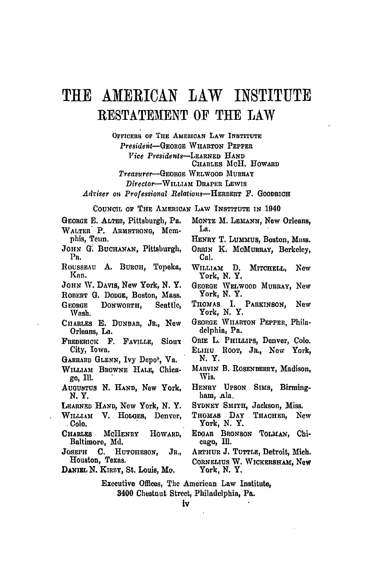## TRUE **AMERICAN** LAW **INSTITUTE RESTATEMENT** OF **THE** LAW

**OFFICERS OF THE** AMERIcAN LAW INSTITUTE *Presidelit-GEOBGE* WHARTON PEPPER *Vice Presidents--LERNED* **HAND** CHARLES McH. HOWARD *Treasurer-GEORGE* WELWOOD MURRAY *Director-WILLIAM* DRAPER LEWIS

*Adviser on Professional Relations-HERERT* F. GOODRICH

COUNCIL Or THE AMERICAN LAW INSTITUTE **IN** 1940

- GEORGE **E.** ALTER, Pittsburgh, Pa. WALTER P. **ARMSTRONG,** Memphis, Tenn. JOHN G. BUCHANAN, Pittsburgh, Pa. ROUSSEAU A. BURCH, Topeka, Kan. JOHN W. DAVIS, New York, **N.** Y. ROBERT G. DODGE, Boston, Mass. GEORGE DOXWORTH, Seattle, **Wash.** CIIARrEs **E.** DUNBAR, JR., New Orleans, La. FREDERICK F. FAVILLE, Sioux City, Iowa. GARRARD GLENN, Ivy Depo<sup>t</sup>, Va. WILLIAM BROWNE **HALE,** Chica**go,** Ill. **AUGUSTUS N. HAND,** New York, N.Y. LEARNED **HAND, New** York, **N.** Y. WILLIAM V. **HODoES,** Denver, **. Colo.** CHARLES McHENRY HOWARD, Baltimore, Md. **JOSEPH C. HUTOIIESON, JR.,** Houston, Texas. DANiEL **N.** KIRBY, St. Louis, Mo.
- **MONTE** M. LEMANN, New Orleans, La.
- HENRY T. LuMmtus, Boston, Mass.
- ORRIN K. MCMURRAY, Berkeley, Cal.
- WILLIAM **D.** MITCHELL, New York, **N.** Y.
- GEORGE WELWOOD MURRAY, New York, N. Y.
- THOMAS I. PARKINSON, New York, **N.** Y.
- **GEORGE** WIIARTON PEPPER, Philadelphia, Pa.
- ORIE **L.** PHILLIPS, Denver, Colo.
- EL1IIU RooT, JR., New York, N.Y.
- MARVIN B. ROSENBERRY, Madison, Wis.
- HENRY **UPSON** SIms, Birmingham, Ala.
- SYDNEY SMITH, Jackson, Miss.
- THOMAS **DAY** TRAOHER, **New** York, **N.** Y.
- EDGAR BRONSON TOLMAN, Chicago, **Ill.**
- ARTHUR **J. TUTTLE,** Detroit, Mich.
- CORNELIUS W. WICKERSHAm, New York, N. Y.
- Executive Offices, The American Law Institute, 3400 Chestnut Street, Philadelphia, Pa.